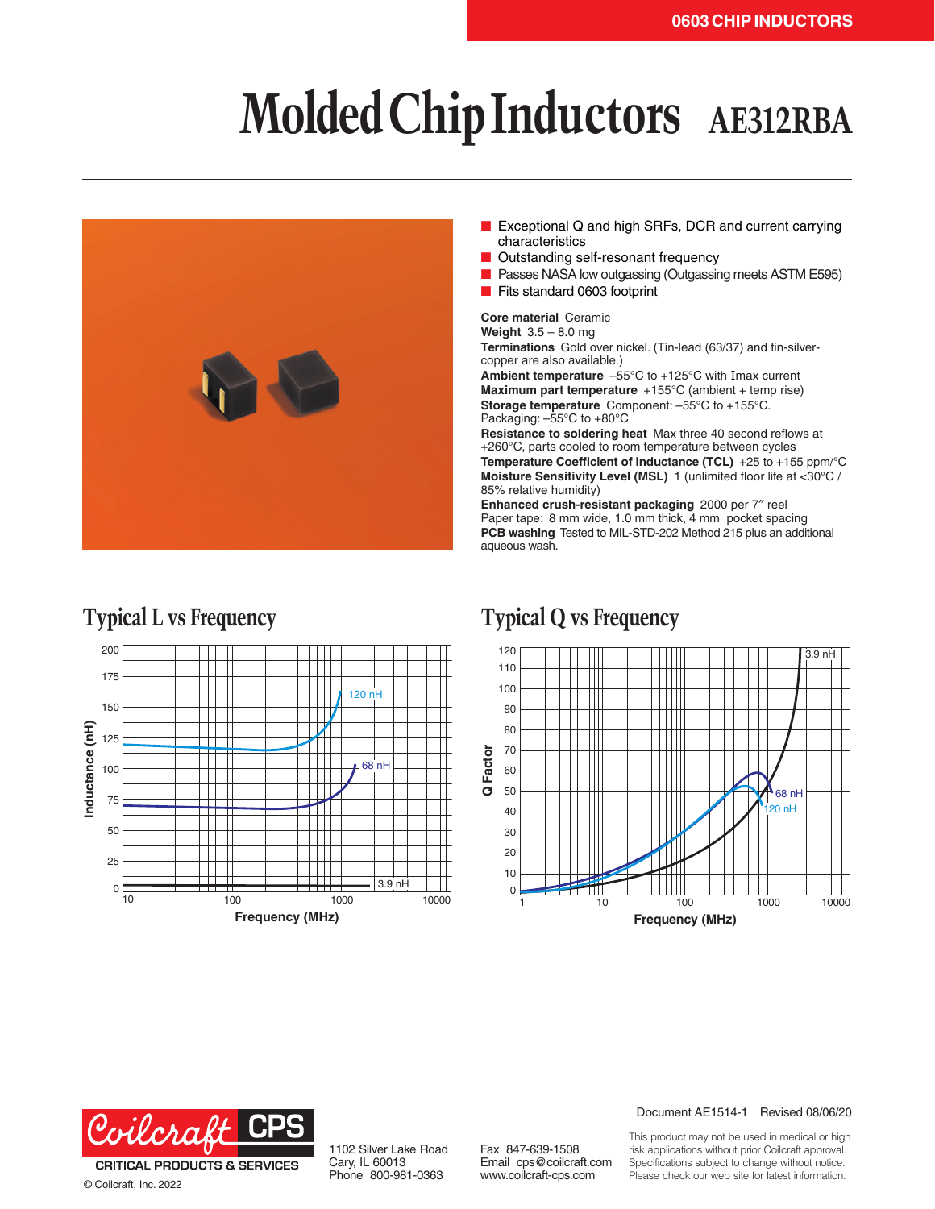# **Molded Chip Inductors AE312RBA**



- Exceptional Q and high SRFs, DCR and current carrying characteristics
- Outstanding self-resonant frequency
- Passes NASA low outgassing (Outgassing meets ASTM E595)
- Fits standard 0603 footprint

**Core material** Ceramic

**Weight** 3.5 – 8.0 mg **Terminations** Gold over nickel. (Tin-lead (63/37) and tin-silvercopper are also available.)

**Ambient temperature** –55°C to +125°C with Imax current **Maximum part temperature** +155°C (ambient + temp rise) **Storage temperature** Component: –55°C to +155°C. Packaging: –55°C to +80°C

**Resistance to soldering heat** Max three 40 second reflows at +260°C, parts cooled to room temperature between cycles **Temperature Coefficient of Inductance (TCL)** +25 to +155 ppm/°C **Moisture Sensitivity Level (MSL)** 1 (unlimited floor life at <30°C / 85% relative humidity)

**Enhanced crush-resistant packaging** 2000 per 7″ reel Paper tape: 8 mm wide, 1.0 mm thick, 4 mm pocket spacing **PCB washing** Tested to MIL-STD-202 Method 215 plus an additional aqueous wash.

### 200 175  $120n$ 150 Inductance (nH) **Inductance (nH)** 125  $\perp$ 68 nH 100 75 50 25  $\Box$ ┯┷ 3.9 nH 0<sup>l</sup> 1000 10000 100 **Frequency (MHz)**

## **Typical L vs Frequency Typical Q vs Frequency**





© Coilcraft, Inc. 2022

1102 Silver Lake Road Cary, IL 60013 Phone 800-981-0363

Fax 847-639-1508 Email cps@coilcraft.com www.coilcraft-cps.com

### Document AE1514-1 Revised 08/06/20

This product may not be used in medical or high risk applications without prior Coilcraft approval. Specifications subject to change without notice. Please check our web site for latest information.